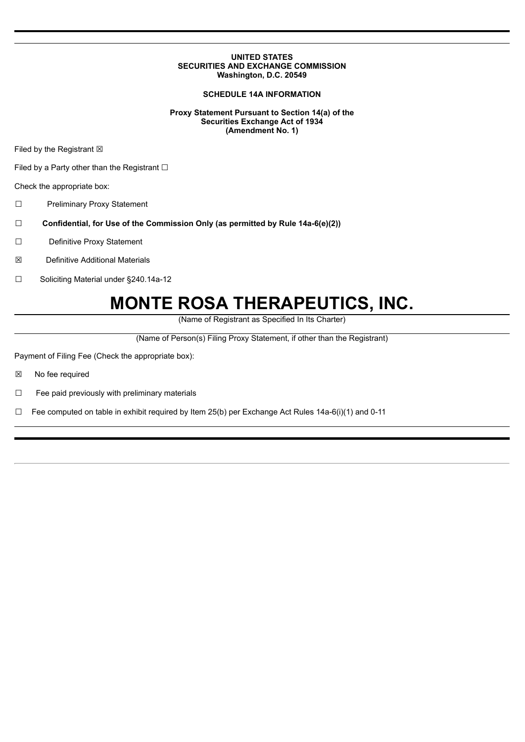### **UNITED STATES SECURITIES AND EXCHANGE COMMISSION Washington, D.C. 20549**

# **SCHEDULE 14A INFORMATION**

### **Proxy Statement Pursuant to Section 14(a) of the Securities Exchange Act of 1934 (Amendment No. 1)**

Filed by the Registrant  $\boxtimes$ 

Filed by a Party other than the Registrant  $□$ 

Check the appropriate box:

☐ Preliminary Proxy Statement

- ☐ **Confidential, for Use of the Commission Only (as permitted by Rule 14a-6(e)(2))**
- ☐ Definitive Proxy Statement
- ☒ Definitive Additional Materials
- ☐ Soliciting Material under §240.14a-12

# **MONTE ROSA THERAPEUTICS, INC.**

(Name of Registrant as Specified In Its Charter)

(Name of Person(s) Filing Proxy Statement, if other than the Registrant)

Payment of Filing Fee (Check the appropriate box):

☒ No fee required

☐ Fee paid previously with preliminary materials

□ Fee computed on table in exhibit required by Item 25(b) per Exchange Act Rules  $14a-6(i)(1)$  and 0-11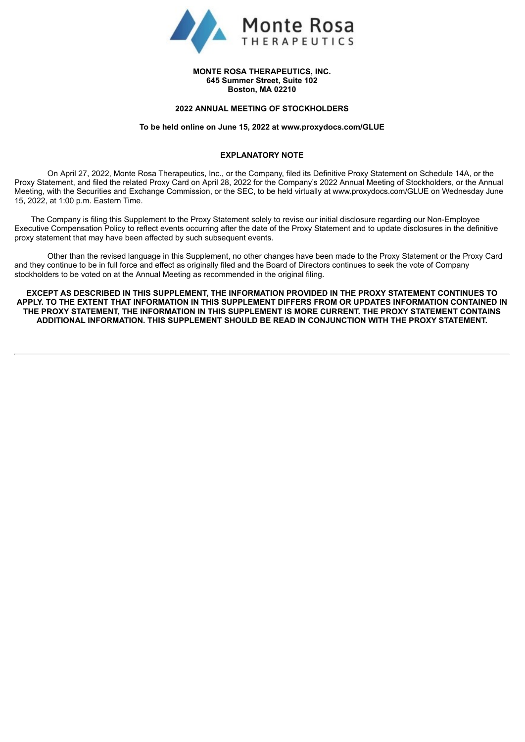

#### **MONTE ROSA THERAPEUTICS, INC. 645 Summer Street, Suite 102 Boston, MA 02210**

#### **2022 ANNUAL MEETING OF STOCKHOLDERS**

#### **To be held online on June 15, 2022 at www.proxydocs.com/GLUE**

## **EXPLANATORY NOTE**

On April 27, 2022, Monte Rosa Therapeutics, Inc., or the Company, filed its Definitive Proxy Statement on Schedule 14A, or the Proxy Statement, and filed the related Proxy Card on April 28, 2022 for the Company's 2022 Annual Meeting of Stockholders, or the Annual Meeting, with the Securities and Exchange Commission, or the SEC, to be held virtually at www.proxydocs.com/GLUE on Wednesday June 15, 2022, at 1:00 p.m. Eastern Time.

The Company is filing this Supplement to the Proxy Statement solely to revise our initial disclosure regarding our Non-Employee Executive Compensation Policy to reflect events occurring after the date of the Proxy Statement and to update disclosures in the definitive proxy statement that may have been affected by such subsequent events.

Other than the revised language in this Supplement, no other changes have been made to the Proxy Statement or the Proxy Card and they continue to be in full force and effect as originally filed and the Board of Directors continues to seek the vote of Company stockholders to be voted on at the Annual Meeting as recommended in the original filing.

**EXCEPT AS DESCRIBED IN THIS SUPPLEMENT, THE INFORMATION PROVIDED IN THE PROXY STATEMENT CONTINUES TO APPLY. TO THE EXTENT THAT INFORMATION IN THIS SUPPLEMENT DIFFERS FROM OR UPDATES INFORMATION CONTAINED IN THE PROXY STATEMENT, THE INFORMATION IN THIS SUPPLEMENT IS MORE CURRENT. THE PROXY STATEMENT CONTAINS ADDITIONAL INFORMATION. THIS SUPPLEMENT SHOULD BE READ IN CONJUNCTION WITH THE PROXY STATEMENT.**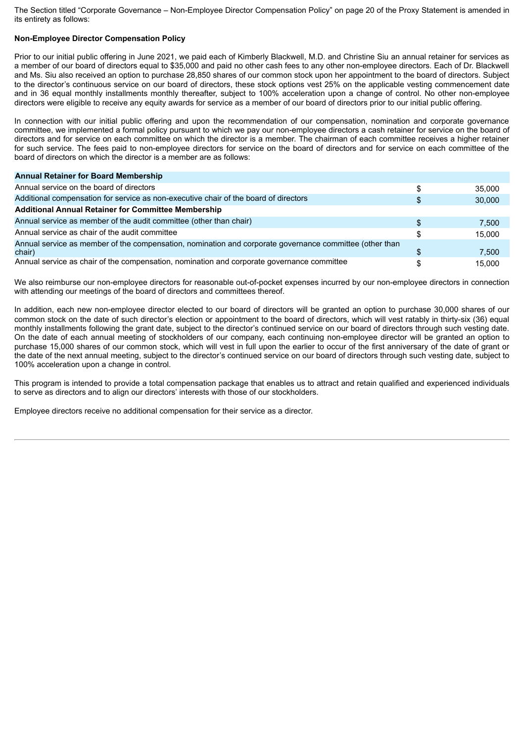The Section titled "Corporate Governance – Non-Employee Director Compensation Policy" on page 20 of the Proxy Statement is amended in its entirety as follows:

# **Non-Employee Director Compensation Policy**

Prior to our initial public offering in June 2021, we paid each of Kimberly Blackwell, M.D. and Christine Siu an annual retainer for services as a member of our board of directors equal to \$35,000 and paid no other cash fees to any other non-employee directors. Each of Dr. Blackwell and Ms. Siu also received an option to purchase 28,850 shares of our common stock upon her appointment to the board of directors. Subject to the director's continuous service on our board of directors, these stock options vest 25% on the applicable vesting commencement date and in 36 equal monthly installments monthly thereafter, subject to 100% acceleration upon a change of control. No other non-employee directors were eligible to receive any equity awards for service as a member of our board of directors prior to our initial public offering.

In connection with our initial public offering and upon the recommendation of our compensation, nomination and corporate governance committee, we implemented a formal policy pursuant to which we pay our non-employee directors a cash retainer for service on the board of directors and for service on each committee on which the director is a member. The chairman of each committee receives a higher retainer for such service. The fees paid to non-employee directors for service on the board of directors and for service on each committee of the board of directors on which the director is a member are as follows:

| <b>Annual Retainer for Board Membership</b>                                                             |        |
|---------------------------------------------------------------------------------------------------------|--------|
| Annual service on the board of directors                                                                | 35,000 |
| Additional compensation for service as non-executive chair of the board of directors                    | 30,000 |
| <b>Additional Annual Retainer for Committee Membership</b>                                              |        |
| Annual service as member of the audit committee (other than chair)                                      | 7.500  |
| Annual service as chair of the audit committee                                                          | 15.000 |
| Annual service as member of the compensation, nomination and corporate governance committee (other than |        |
| chair)                                                                                                  | 7,500  |
| Annual service as chair of the compensation, nomination and corporate governance committee              | 15.000 |

We also reimburse our non-employee directors for reasonable out-of-pocket expenses incurred by our non-employee directors in connection with attending our meetings of the board of directors and committees thereof.

In addition, each new non-employee director elected to our board of directors will be granted an option to purchase 30,000 shares of our common stock on the date of such director's election or appointment to the board of directors, which will vest ratably in thirty-six (36) equal monthly installments following the grant date, subject to the director's continued service on our board of directors through such vesting date. On the date of each annual meeting of stockholders of our company, each continuing non-employee director will be granted an option to purchase 15,000 shares of our common stock, which will vest in full upon the earlier to occur of the first anniversary of the date of grant or the date of the next annual meeting, subject to the director's continued service on our board of directors through such vesting date, subject to 100% acceleration upon a change in control.

This program is intended to provide a total compensation package that enables us to attract and retain qualified and experienced individuals to serve as directors and to align our directors' interests with those of our stockholders.

Employee directors receive no additional compensation for their service as a director.